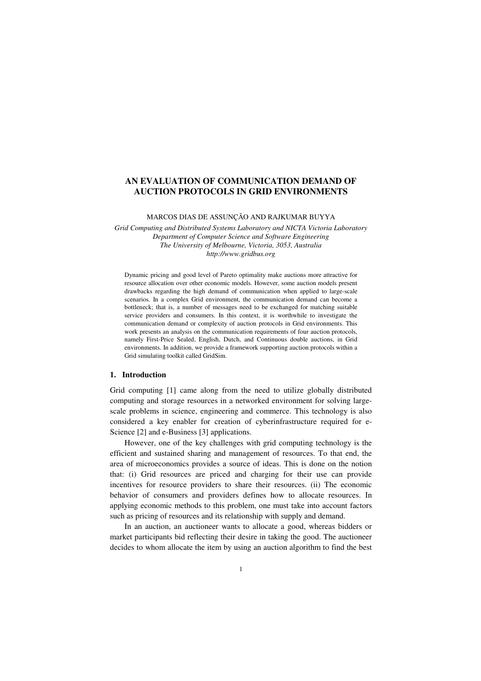# **AN EVALUATION OF COMMUNICATION DEMAND OF AUCTION PROTOCOLS IN GRID ENVIRONMENTS**

MARCOS DIAS DE ASSUNÇÃO AND RAJKUMAR BUYYA

*Grid Computing and Distributed Systems Laboratory and NICTA Victoria Laboratory Department of Computer Science and Software Engineering The University of Melbourne, Victoria, 3053, Australia http://www.gridbus.org*

Dynamic pricing and good level of Pareto optimality make auctions more attractive for resource allocation over other economic models. However, some auction models present drawbacks regarding the high demand of communication when applied to large-scale scenarios. In a complex Grid environment, the communication demand can become a bottleneck; that is, a number of messages need to be exchanged for matching suitable service providers and consumers. In this context, it is worthwhile to investigate the communication demand or complexity of auction protocols in Grid environments. This work presents an analysis on the communication requirements of four auction protocols, namely First-Price Sealed, English, Dutch, and Continuous double auctions, in Grid environments. In addition, we provide a framework supporting auction protocols within a Grid simulating toolkit called GridSim.

## **1. Introduction**

Grid computing [1] came along from the need to utilize globally distributed computing and storage resources in a networked environment for solving largescale problems in science, engineering and commerce. This technology is also considered a key enabler for creation of cyberinfrastructure required for e-Science [2] and e-Business [3] applications.

However, one of the key challenges with grid computing technology is the efficient and sustained sharing and management of resources. To that end, the area of microeconomics provides a source of ideas. This is done on the notion that: (i) Grid resources are priced and charging for their use can provide incentives for resource providers to share their resources. (ii) The economic behavior of consumers and providers defines how to allocate resources. In applying economic methods to this problem, one must take into account factors such as pricing of resources and its relationship with supply and demand.

In an auction, an auctioneer wants to allocate a good, whereas bidders or market participants bid reflecting their desire in taking the good. The auctioneer decides to whom allocate the item by using an auction algorithm to find the best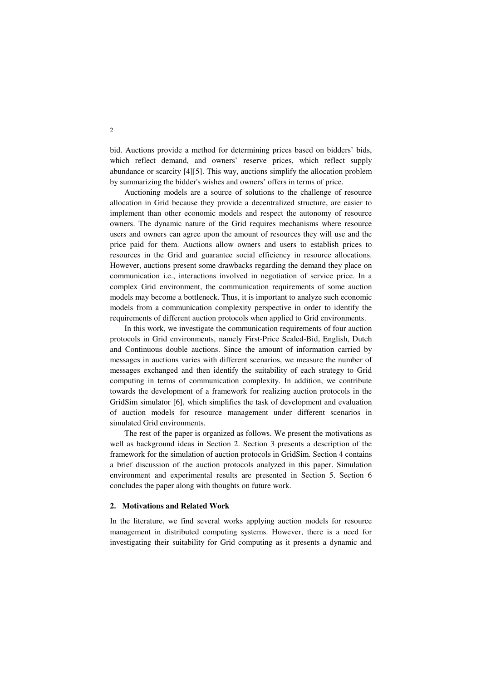bid. Auctions provide a method for determining prices based on bidders' bids, which reflect demand, and owners' reserve prices, which reflect supply abundance or scarcity [4][5]. This way, auctions simplify the allocation problem by summarizing the bidder's wishes and owners' offers in terms of price.

Auctioning models are a source of solutions to the challenge of resource allocation in Grid because they provide a decentralized structure, are easier to implement than other economic models and respect the autonomy of resource owners. The dynamic nature of the Grid requires mechanisms where resource users and owners can agree upon the amount of resources they will use and the price paid for them. Auctions allow owners and users to establish prices to resources in the Grid and guarantee social efficiency in resource allocations. However, auctions present some drawbacks regarding the demand they place on communication i.e., interactions involved in negotiation of service price. In a complex Grid environment, the communication requirements of some auction models may become a bottleneck. Thus, it is important to analyze such economic models from a communication complexity perspective in order to identify the requirements of different auction protocols when applied to Grid environments.

In this work, we investigate the communication requirements of four auction protocols in Grid environments, namely First-Price Sealed-Bid, English, Dutch and Continuous double auctions. Since the amount of information carried by messages in auctions varies with different scenarios, we measure the number of messages exchanged and then identify the suitability of each strategy to Grid computing in terms of communication complexity. In addition, we contribute towards the development of a framework for realizing auction protocols in the GridSim simulator [6], which simplifies the task of development and evaluation of auction models for resource management under different scenarios in simulated Grid environments.

The rest of the paper is organized as follows. We present the motivations as well as background ideas in Section 2. Section 3 presents a description of the framework for the simulation of auction protocols in GridSim. Section 4 contains a brief discussion of the auction protocols analyzed in this paper. Simulation environment and experimental results are presented in Section 5. Section 6 concludes the paper along with thoughts on future work.

#### **2. Motivations and Related Work**

In the literature, we find several works applying auction models for resource management in distributed computing systems. However, there is a need for investigating their suitability for Grid computing as it presents a dynamic and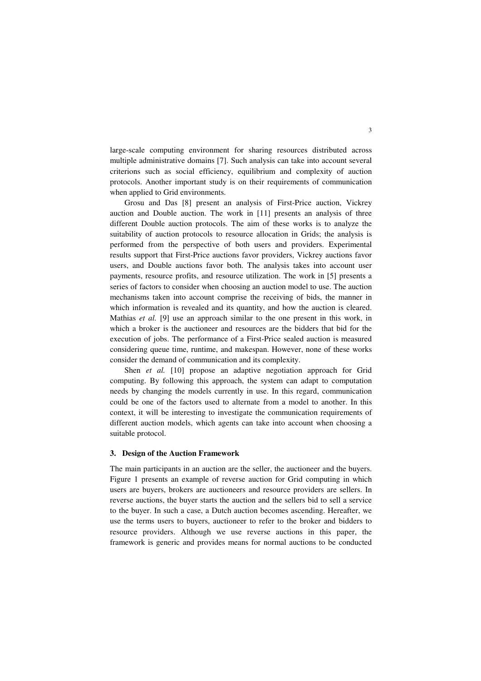large-scale computing environment for sharing resources distributed across multiple administrative domains [7]. Such analysis can take into account several criterions such as social efficiency, equilibrium and complexity of auction protocols. Another important study is on their requirements of communication when applied to Grid environments.

Grosu and Das [8] present an analysis of First-Price auction, Vickrey auction and Double auction. The work in [11] presents an analysis of three different Double auction protocols. The aim of these works is to analyze the suitability of auction protocols to resource allocation in Grids; the analysis is performed from the perspective of both users and providers. Experimental results support that First-Price auctions favor providers, Vickrey auctions favor users, and Double auctions favor both. The analysis takes into account user payments, resource profits, and resource utilization. The work in [5] presents a series of factors to consider when choosing an auction model to use. The auction mechanisms taken into account comprise the receiving of bids, the manner in which information is revealed and its quantity, and how the auction is cleared. Mathias *et al.* [9] use an approach similar to the one present in this work, in which a broker is the auctioneer and resources are the bidders that bid for the execution of jobs. The performance of a First-Price sealed auction is measured considering queue time, runtime, and makespan. However, none of these works consider the demand of communication and its complexity.

Shen *et al.* [10] propose an adaptive negotiation approach for Grid computing. By following this approach, the system can adapt to computation needs by changing the models currently in use. In this regard, communication could be one of the factors used to alternate from a model to another. In this context, it will be interesting to investigate the communication requirements of different auction models, which agents can take into account when choosing a suitable protocol.

#### **3. Design of the Auction Framework**

The main participants in an auction are the seller, the auctioneer and the buyers. Figure 1 presents an example of reverse auction for Grid computing in which users are buyers, brokers are auctioneers and resource providers are sellers. In reverse auctions, the buyer starts the auction and the sellers bid to sell a service to the buyer. In such a case, a Dutch auction becomes ascending. Hereafter, we use the terms users to buyers, auctioneer to refer to the broker and bidders to resource providers. Although we use reverse auctions in this paper, the framework is generic and provides means for normal auctions to be conducted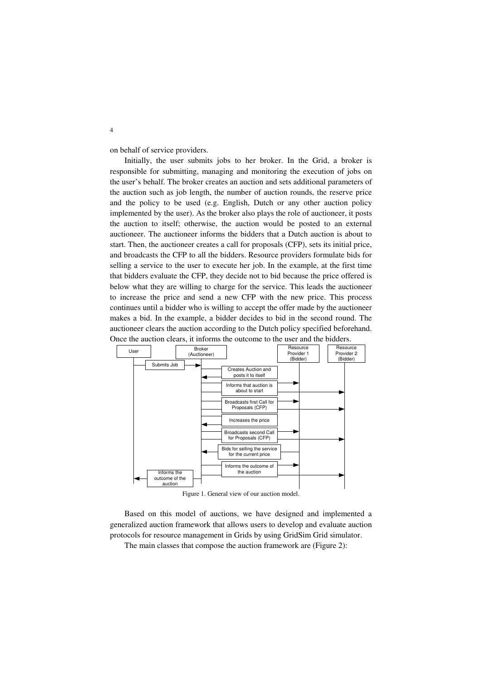on behalf of service providers.

Initially, the user submits jobs to her broker. In the Grid, a broker is responsible for submitting, managing and monitoring the execution of jobs on the user's behalf. The broker creates an auction and sets additional parameters of the auction such as job length, the number of auction rounds, the reserve price and the policy to be used (e.g. English, Dutch or any other auction policy implemented by the user). As the broker also plays the role of auctioneer, it posts the auction to itself; otherwise, the auction would be posted to an external auctioneer. The auctioneer informs the bidders that a Dutch auction is about to start. Then, the auctioneer creates a call for proposals (CFP), sets its initial price, and broadcasts the CFP to all the bidders. Resource providers formulate bids for selling a service to the user to execute her job. In the example, at the first time that bidders evaluate the CFP, they decide not to bid because the price offered is below what they are willing to charge for the service. This leads the auctioneer to increase the price and send a new CFP with the new price. This process continues until a bidder who is willing to accept the offer made by the auctioneer makes a bid. In the example, a bidder decides to bid in the second round. The auctioneer clears the auction according to the Dutch policy specified beforehand. Once the auction clears, it informs the outcome to the user and the bidders.



Based on this model of auctions, we have designed and implemented a generalized auction framework that allows users to develop and evaluate auction protocols for resource management in Grids by using GridSim Grid simulator.

The main classes that compose the auction framework are (Figure 2):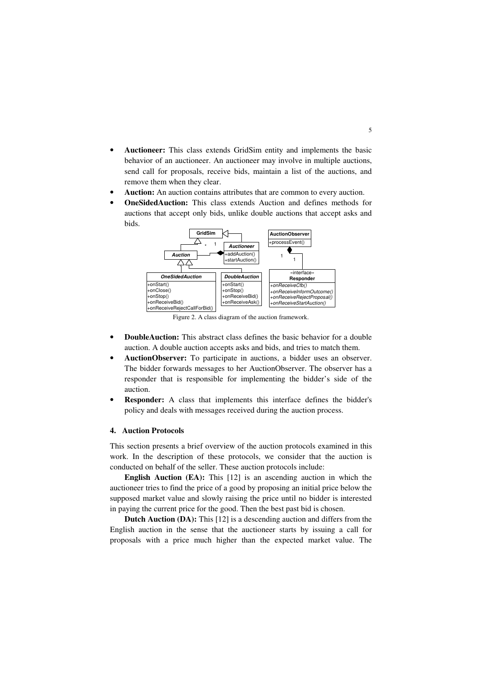- **Auctioneer:** This class extends GridSim entity and implements the basic behavior of an auctioneer. An auctioneer may involve in multiple auctions, send call for proposals, receive bids, maintain a list of the auctions, and remove them when they clear.
- **Auction:** An auction contains attributes that are common to every auction.
- **OneSidedAuction:** This class extends Auction and defines methods for auctions that accept only bids, unlike double auctions that accept asks and bids.



Figure 2. A class diagram of the auction framework.

- **DoubleAuction:** This abstract class defines the basic behavior for a double auction. A double auction accepts asks and bids, and tries to match them.
- **AuctionObserver:** To participate in auctions, a bidder uses an observer. The bidder forwards messages to her AuctionObserver. The observer has a responder that is responsible for implementing the bidder's side of the auction.
- **Responder:** A class that implements this interface defines the bidder's policy and deals with messages received during the auction process.

## **4. Auction Protocols**

This section presents a brief overview of the auction protocols examined in this work. In the description of these protocols, we consider that the auction is conducted on behalf of the seller. These auction protocols include:

**English Auction (EA):** This [12] is an ascending auction in which the auctioneer tries to find the price of a good by proposing an initial price below the supposed market value and slowly raising the price until no bidder is interested in paying the current price for the good. Then the best past bid is chosen.

**Dutch Auction (DA):** This [12] is a descending auction and differs from the English auction in the sense that the auctioneer starts by issuing a call for proposals with a price much higher than the expected market value. The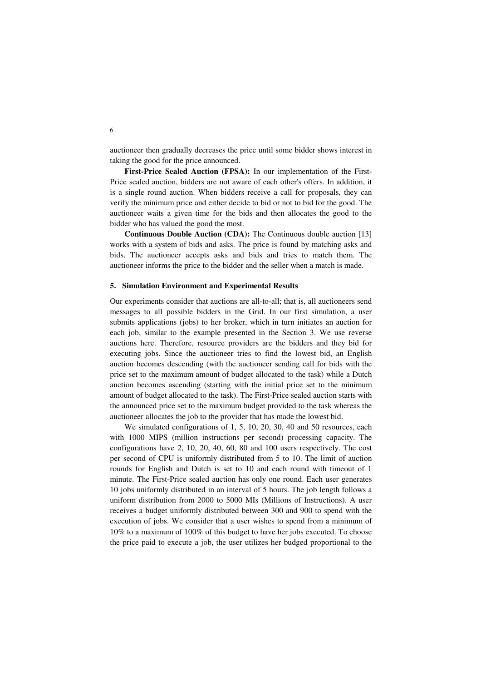auctioneer then gradually decreases the price until some bidder shows interest in taking the good for the price announced.

**First-Price Sealed Auction (FPSA):** In our implementation of the First-Price sealed auction, bidders are not aware of each other's offers. In addition, it is a single round auction. When bidders receive a call for proposals, they can verify the minimum price and either decide to bid or not to bid for the good. The auctioneer waits a given time for the bids and then allocates the good to the bidder who has valued the good the most.

**Continuous Double Auction (CDA):** The Continuous double auction [13] works with a system of bids and asks. The price is found by matching asks and bids. The auctioneer accepts asks and bids and tries to match them. The auctioneer informs the price to the bidder and the seller when a match is made.

## **5. Simulation Environment and Experimental Results**

Our experiments consider that auctions are all-to-all; that is, all auctioneers send messages to all possible bidders in the Grid. In our first simulation, a user submits applications (jobs) to her broker, which in turn initiates an auction for each job, similar to the example presented in the Section 3. We use reverse auctions here. Therefore, resource providers are the bidders and they bid for executing jobs. Since the auctioneer tries to find the lowest bid, an English auction becomes descending (with the auctioneer sending call for bids with the price set to the maximum amount of budget allocated to the task) while a Dutch auction becomes ascending (starting with the initial price set to the minimum amount of budget allocated to the task). The First-Price sealed auction starts with the announced price set to the maximum budget provided to the task whereas the auctioneer allocates the job to the provider that has made the lowest bid.

We simulated configurations of 1, 5, 10, 20, 30, 40 and 50 resources, each with 1000 MIPS (million instructions per second) processing capacity. The configurations have 2, 10, 20, 40, 60, 80 and 100 users respectively. The cost per second of CPU is uniformly distributed from 5 to 10. The limit of auction rounds for English and Dutch is set to 10 and each round with timeout of 1 minute. The First-Price sealed auction has only one round. Each user generates 10 jobs uniformly distributed in an interval of 5 hours. The job length follows a uniform distribution from 2000 to 5000 MIs (Millions of Instructions). A user receives a budget uniformly distributed between 300 and 900 to spend with the execution of jobs. We consider that a user wishes to spend from a minimum of 10% to a maximum of 100% of this budget to have her jobs executed. To choose the price paid to execute a job, the user utilizes her budged proportional to the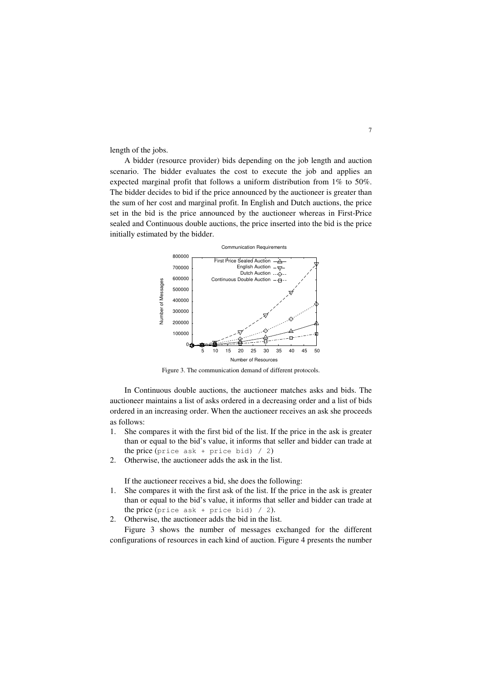length of the jobs.

A bidder (resource provider) bids depending on the job length and auction scenario. The bidder evaluates the cost to execute the job and applies an expected marginal profit that follows a uniform distribution from 1% to 50%. The bidder decides to bid if the price announced by the auctioneer is greater than the sum of her cost and marginal profit. In English and Dutch auctions, the price set in the bid is the price announced by the auctioneer whereas in First-Price sealed and Continuous double auctions, the price inserted into the bid is the price initially estimated by the bidder.



Figure 3. The communication demand of different protocols.

In Continuous double auctions, the auctioneer matches asks and bids. The auctioneer maintains a list of asks ordered in a decreasing order and a list of bids ordered in an increasing order. When the auctioneer receives an ask she proceeds as follows:

- 1. She compares it with the first bid of the list. If the price in the ask is greater than or equal to the bid's value, it informs that seller and bidder can trade at the price  $(p$ rice ask + price bid) / 2)
- 2. Otherwise, the auctioneer adds the ask in the list.

If the auctioneer receives a bid, she does the following:

- 1. She compares it with the first ask of the list. If the price in the ask is greater than or equal to the bid's value, it informs that seller and bidder can trade at the price  $(\text{price ask} + \text{price bid})$  / 2).
- 2. Otherwise, the auctioneer adds the bid in the list.

Figure 3 shows the number of messages exchanged for the different configurations of resources in each kind of auction. Figure 4 presents the number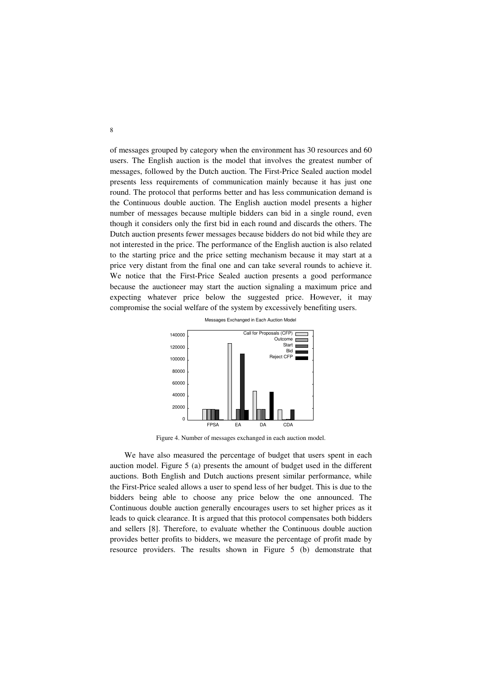of messages grouped by category when the environment has 30 resources and 60 users. The English auction is the model that involves the greatest number of messages, followed by the Dutch auction. The First-Price Sealed auction model presents less requirements of communication mainly because it has just one round. The protocol that performs better and has less communication demand is the Continuous double auction. The English auction model presents a higher number of messages because multiple bidders can bid in a single round, even though it considers only the first bid in each round and discards the others. The Dutch auction presents fewer messages because bidders do not bid while they are not interested in the price. The performance of the English auction is also related to the starting price and the price setting mechanism because it may start at a price very distant from the final one and can take several rounds to achieve it. We notice that the First-Price Sealed auction presents a good performance because the auctioneer may start the auction signaling a maximum price and expecting whatever price below the suggested price. However, it may compromise the social welfare of the system by excessively benefiting users.

Messages Exchanged in Each Auction Model



Figure 4. Number of messages exchanged in each auction model.

We have also measured the percentage of budget that users spent in each auction model. Figure 5 (a) presents the amount of budget used in the different auctions. Both English and Dutch auctions present similar performance, while the First-Price sealed allows a user to spend less of her budget. This is due to the bidders being able to choose any price below the one announced. The Continuous double auction generally encourages users to set higher prices as it leads to quick clearance. It is argued that this protocol compensates both bidders and sellers [8]. Therefore, to evaluate whether the Continuous double auction provides better profits to bidders, we measure the percentage of profit made by resource providers. The results shown in Figure 5 (b) demonstrate that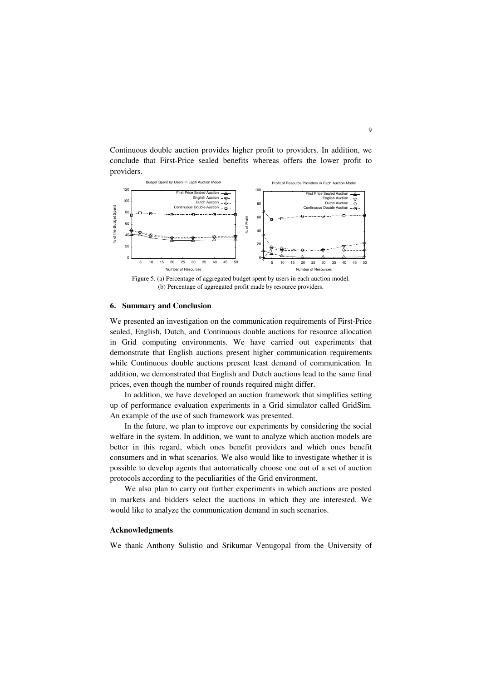Continuous double auction provides higher profit to providers. In addition, we conclude that First-Price sealed benefits whereas offers the lower profit to providers.



Figure 5. (a) Percentage of aggregated budget spent by users in each auction model. (b) Percentage of aggregated profit made by resource providers.

#### **6. Summary and Conclusion**

We presented an investigation on the communication requirements of First-Price sealed, English, Dutch, and Continuous double auctions for resource allocation in Grid computing environments. We have carried out experiments that demonstrate that English auctions present higher communication requirements while Continuous double auctions present least demand of communication. In addition, we demonstrated that English and Dutch auctions lead to the same final prices, even though the number of rounds required might differ.

In addition, we have developed an auction framework that simplifies setting up of performance evaluation experiments in a Grid simulator called GridSim. An example of the use of such framework was presented.

In the future, we plan to improve our experiments by considering the social welfare in the system. In addition, we want to analyze which auction models are better in this regard, which ones benefit providers and which ones benefit consumers and in what scenarios. We also would like to investigate whether it is possible to develop agents that automatically choose one out of a set of auction protocols according to the peculiarities of the Grid environment.

We also plan to carry out further experiments in which auctions are posted in markets and bidders select the auctions in which they are interested. We would like to analyze the communication demand in such scenarios.

## **Acknowledgments**

We thank Anthony Sulistio and Srikumar Venugopal from the University of